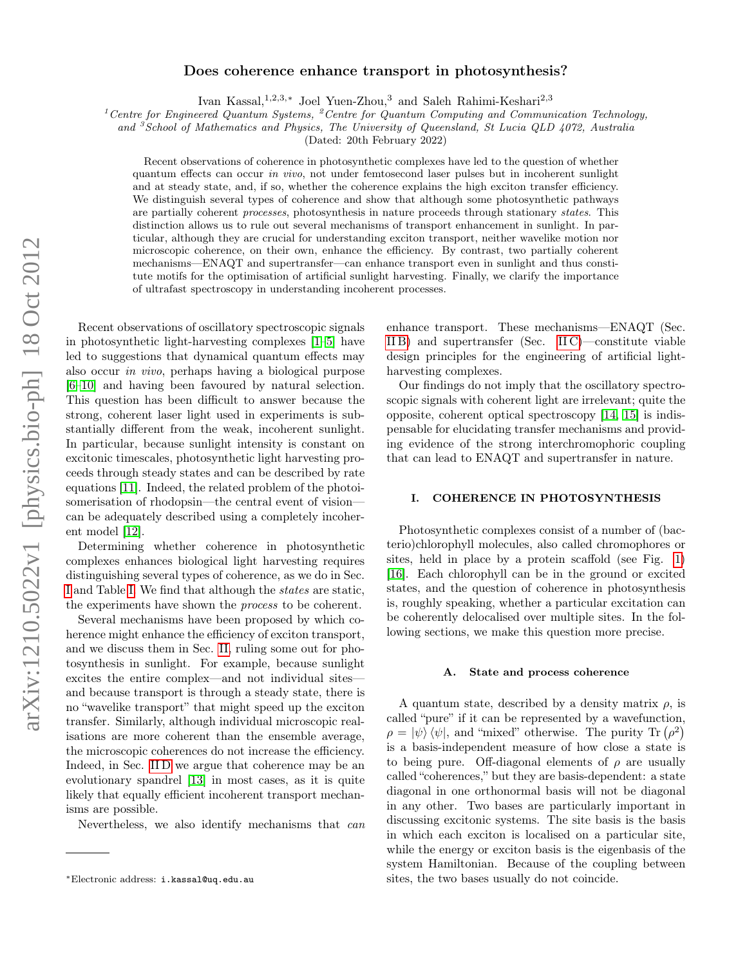# arXiv:1210.5022v1 [physics.bio-ph] 18 Oct 2012 arXiv:1210.5022v1 [physics.bio-ph] 18 Oct 2012

# Does coherence enhance transport in photosynthesis?

Ivan Kassal,1,2,3,<sup>∗</sup> Joel Yuen-Zhou,<sup>3</sup> and Saleh Rahimi-Keshari2,3

<sup>1</sup> Centre for Engineered Quantum Systems, <sup>2</sup> Centre for Quantum Computing and Communication Technology,

and <sup>3</sup> School of Mathematics and Physics, The University of Queensland, St Lucia QLD 4072, Australia

(Dated: 20th February 2022)

Recent observations of coherence in photosynthetic complexes have led to the question of whether quantum effects can occur in vivo, not under femtosecond laser pulses but in incoherent sunlight and at steady state, and, if so, whether the coherence explains the high exciton transfer efficiency. We distinguish several types of coherence and show that although some photosynthetic pathways are partially coherent processes, photosynthesis in nature proceeds through stationary states. This distinction allows us to rule out several mechanisms of transport enhancement in sunlight. In particular, although they are crucial for understanding exciton transport, neither wavelike motion nor microscopic coherence, on their own, enhance the efficiency. By contrast, two partially coherent mechanisms—ENAQT and supertransfer—can enhance transport even in sunlight and thus constitute motifs for the optimisation of artificial sunlight harvesting. Finally, we clarify the importance of ultrafast spectroscopy in understanding incoherent processes.

Recent observations of oscillatory spectroscopic signals in photosynthetic light-harvesting complexes [\[1–](#page-5-0)[5\]](#page-5-1) have led to suggestions that dynamical quantum effects may also occur in vivo, perhaps having a biological purpose [\[6–](#page-5-2)[10\]](#page-5-3) and having been favoured by natural selection. This question has been difficult to answer because the strong, coherent laser light used in experiments is substantially different from the weak, incoherent sunlight. In particular, because sunlight intensity is constant on excitonic timescales, photosynthetic light harvesting proceeds through steady states and can be described by rate equations [\[11\]](#page-5-4). Indeed, the related problem of the photoisomerisation of rhodopsin—the central event of vision can be adequately described using a completely incoherent model [\[12\]](#page-5-5).

Determining whether coherence in photosynthetic complexes enhances biological light harvesting requires distinguishing several types of coherence, as we do in Sec. [I](#page-0-0) and Table [I.](#page-1-0) We find that although the states are static, the experiments have shown the process to be coherent.

Several mechanisms have been proposed by which coherence might enhance the efficiency of exciton transport, and we discuss them in Sec. [II,](#page-3-0) ruling some out for photosynthesis in sunlight. For example, because sunlight excites the entire complex—and not individual sites and because transport is through a steady state, there is no "wavelike transport" that might speed up the exciton transfer. Similarly, although individual microscopic realisations are more coherent than the ensemble average, the microscopic coherences do not increase the efficiency. Indeed, in Sec. IID we argue that coherence may be an evolutionary spandrel [\[13\]](#page-5-7) in most cases, as it is quite likely that equally efficient incoherent transport mechanisms are possible.

Nevertheless, we also identify mechanisms that can

enhance transport. These mechanisms—ENAQT (Sec. [II B\)](#page-4-0) and supertransfer (Sec. [II C\)](#page-4-1)—constitute viable design principles for the engineering of artificial lightharvesting complexes.

Our findings do not imply that the oscillatory spectroscopic signals with coherent light are irrelevant; quite the opposite, coherent optical spectroscopy [\[14,](#page-5-8) [15\]](#page-5-9) is indispensable for elucidating transfer mechanisms and providing evidence of the strong interchromophoric coupling that can lead to ENAQT and supertransfer in nature.

## <span id="page-0-0"></span>I. COHERENCE IN PHOTOSYNTHESIS

Photosynthetic complexes consist of a number of (bacterio)chlorophyll molecules, also called chromophores or sites, held in place by a protein scaffold (see Fig. [1\)](#page-3-1) [\[16\]](#page-5-10). Each chlorophyll can be in the ground or excited states, and the question of coherence in photosynthesis is, roughly speaking, whether a particular excitation can be coherently delocalised over multiple sites. In the following sections, we make this question more precise.

### A. State and process coherence

A quantum state, described by a density matrix  $\rho$ , is called "pure" if it can be represented by a wavefunction,  $\rho = |\psi\rangle \langle \psi|$ , and "mixed" otherwise. The purity Tr  $(\rho^2)$ is a basis-independent measure of how close a state is to being pure. Off-diagonal elements of  $\rho$  are usually called "coherences," but they are basis-dependent: a state diagonal in one orthonormal basis will not be diagonal in any other. Two bases are particularly important in discussing excitonic systems. The site basis is the basis in which each exciton is localised on a particular site, while the energy or exciton basis is the eigenbasis of the system Hamiltonian. Because of the coupling between sites, the two bases usually do not coincide.

<sup>∗</sup>Electronic address: i.kassal@uq.edu.au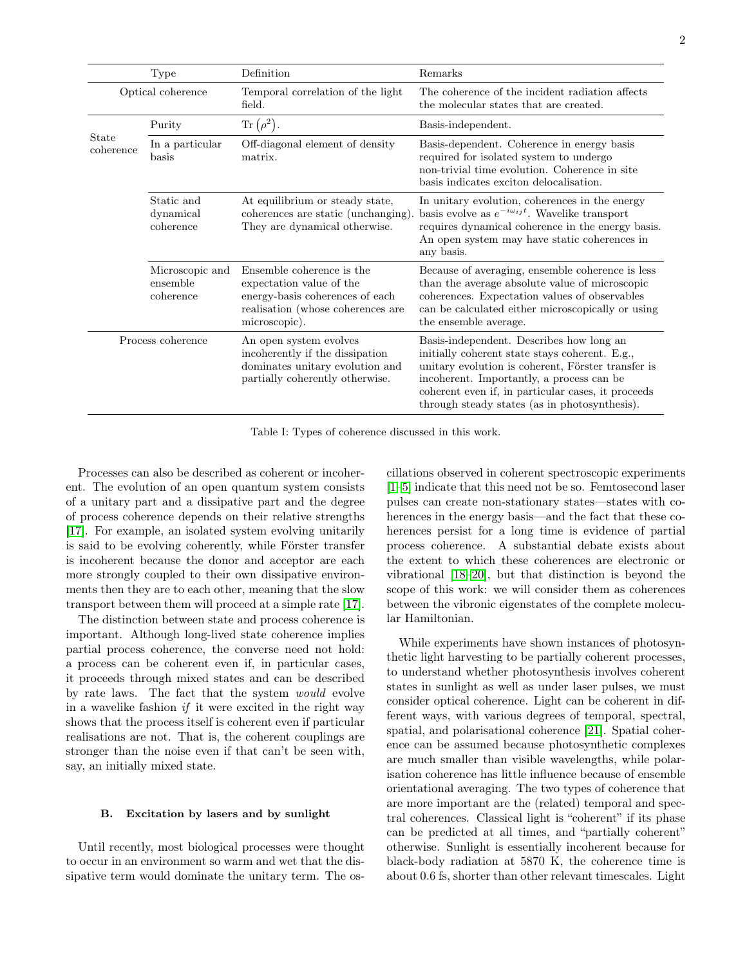| <b>Type</b>        |                                          | Definition                                                                                                                                     | Remarks                                                                                                                                                                                                                                                                                              |
|--------------------|------------------------------------------|------------------------------------------------------------------------------------------------------------------------------------------------|------------------------------------------------------------------------------------------------------------------------------------------------------------------------------------------------------------------------------------------------------------------------------------------------------|
| Optical coherence  |                                          | Temporal correlation of the light<br>field.                                                                                                    | The coherence of the incident radiation affects<br>the molecular states that are created.                                                                                                                                                                                                            |
| State<br>coherence | Purity                                   | $\text{Tr}\left(\rho^2\right).$                                                                                                                | Basis-independent.                                                                                                                                                                                                                                                                                   |
|                    | In a particular $\,$<br>basis            | Off-diagonal element of density<br>matrix.                                                                                                     | Basis-dependent. Coherence in energy basis<br>required for isolated system to undergo<br>non-trivial time evolution. Coherence in site<br>basis indicates exciton delocalisation.                                                                                                                    |
|                    | Static and<br>dynamical<br>coherence     | At equilibrium or steady state,<br>coherences are static (unchanging).<br>They are dynamical otherwise.                                        | In unitary evolution, coherences in the energy<br>basis evolve as $e^{-i\omega_{ij}t}$ . Wavelike transport<br>requires dynamical coherence in the energy basis.<br>An open system may have static coherences in<br>any basis.                                                                       |
|                    | Microscopic and<br>ensemble<br>coherence | Ensemble coherence is the<br>expectation value of the<br>energy-basis coherences of each<br>realisation (whose coherences are<br>microscopic). | Because of averaging, ensemble coherence is less<br>than the average absolute value of microscopic<br>coherences. Expectation values of observables<br>can be calculated either microscopically or using<br>the ensemble average.                                                                    |
| Process coherence  |                                          | An open system evolves<br>incoherently if the dissipation<br>dominates unitary evolution and<br>partially coherently otherwise.                | Basis-independent. Describes how long an<br>initially coherent state stays coherent. E.g.,<br>unitary evolution is coherent, Förster transfer is<br>incoherent. Importantly, a process can be<br>coherent even if, in particular cases, it proceeds<br>through steady states (as in photosynthesis). |

<span id="page-1-0"></span>Table I: Types of coherence discussed in this work.

Processes can also be described as coherent or incoherent. The evolution of an open quantum system consists of a unitary part and a dissipative part and the degree of process coherence depends on their relative strengths [\[17\]](#page-5-11). For example, an isolated system evolving unitarily is said to be evolving coherently, while Förster transfer is incoherent because the donor and acceptor are each more strongly coupled to their own dissipative environments then they are to each other, meaning that the slow transport between them will proceed at a simple rate [\[17\]](#page-5-11).

The distinction between state and process coherence is important. Although long-lived state coherence implies partial process coherence, the converse need not hold: a process can be coherent even if, in particular cases, it proceeds through mixed states and can be described by rate laws. The fact that the system would evolve in a wavelike fashion if it were excited in the right way shows that the process itself is coherent even if particular realisations are not. That is, the coherent couplings are stronger than the noise even if that can't be seen with, say, an initially mixed state.

# B. Excitation by lasers and by sunlight

Until recently, most biological processes were thought to occur in an environment so warm and wet that the dissipative term would dominate the unitary term. The os-

cillations observed in coherent spectroscopic experiments [\[1–](#page-5-0)[5\]](#page-5-1) indicate that this need not be so. Femtosecond laser pulses can create non-stationary states—states with coherences in the energy basis—and the fact that these coherences persist for a long time is evidence of partial process coherence. A substantial debate exists about the extent to which these coherences are electronic or vibrational [\[18–](#page-5-12)[20\]](#page-5-13), but that distinction is beyond the scope of this work: we will consider them as coherences between the vibronic eigenstates of the complete molecular Hamiltonian.

While experiments have shown instances of photosynthetic light harvesting to be partially coherent processes, to understand whether photosynthesis involves coherent states in sunlight as well as under laser pulses, we must consider optical coherence. Light can be coherent in different ways, with various degrees of temporal, spectral, spatial, and polarisational coherence [\[21\]](#page-5-14). Spatial coherence can be assumed because photosynthetic complexes are much smaller than visible wavelengths, while polarisation coherence has little influence because of ensemble orientational averaging. The two types of coherence that are more important are the (related) temporal and spectral coherences. Classical light is "coherent" if its phase can be predicted at all times, and "partially coherent" otherwise. Sunlight is essentially incoherent because for black-body radiation at 5870 K, the coherence time is about 0.6 fs, shorter than other relevant timescales. Light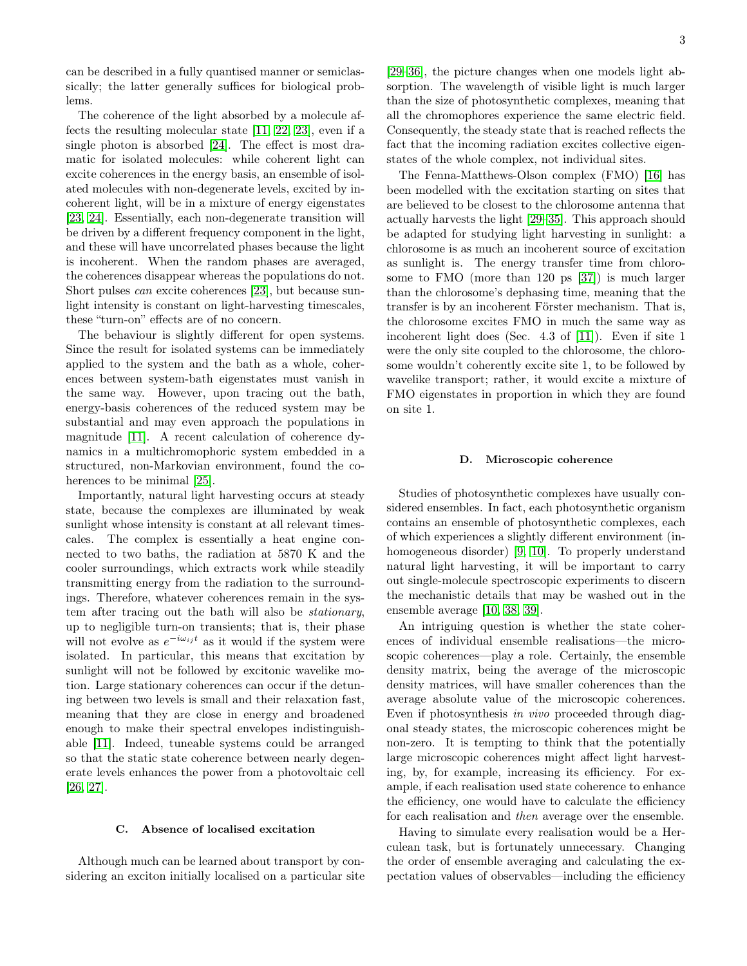can be described in a fully quantised manner or semiclassically; the latter generally suffices for biological problems.

The coherence of the light absorbed by a molecule affects the resulting molecular state [\[11,](#page-5-4) [22,](#page-5-15) [23\]](#page-6-0), even if a single photon is absorbed [\[24\]](#page-6-1). The effect is most dramatic for isolated molecules: while coherent light can excite coherences in the energy basis, an ensemble of isolated molecules with non-degenerate levels, excited by incoherent light, will be in a mixture of energy eigenstates [\[23,](#page-6-0) [24\]](#page-6-1). Essentially, each non-degenerate transition will be driven by a different frequency component in the light, and these will have uncorrelated phases because the light is incoherent. When the random phases are averaged, the coherences disappear whereas the populations do not. Short pulses can excite coherences [\[23\]](#page-6-0), but because sunlight intensity is constant on light-harvesting timescales, these "turn-on" effects are of no concern.

The behaviour is slightly different for open systems. Since the result for isolated systems can be immediately applied to the system and the bath as a whole, coherences between system-bath eigenstates must vanish in the same way. However, upon tracing out the bath, energy-basis coherences of the reduced system may be substantial and may even approach the populations in magnitude [\[11\]](#page-5-4). A recent calculation of coherence dynamics in a multichromophoric system embedded in a structured, non-Markovian environment, found the coherences to be minimal [\[25\]](#page-6-2).

Importantly, natural light harvesting occurs at steady state, because the complexes are illuminated by weak sunlight whose intensity is constant at all relevant timescales. The complex is essentially a heat engine connected to two baths, the radiation at 5870 K and the cooler surroundings, which extracts work while steadily transmitting energy from the radiation to the surroundings. Therefore, whatever coherences remain in the system after tracing out the bath will also be stationary, up to negligible turn-on transients; that is, their phase will not evolve as  $e^{-i\omega_{ij}t}$  as it would if the system were isolated. In particular, this means that excitation by sunlight will not be followed by excitonic wavelike motion. Large stationary coherences can occur if the detuning between two levels is small and their relaxation fast, meaning that they are close in energy and broadened enough to make their spectral envelopes indistinguishable [\[11\]](#page-5-4). Indeed, tuneable systems could be arranged so that the static state coherence between nearly degenerate levels enhances the power from a photovoltaic cell [\[26,](#page-6-3) [27\]](#page-6-4).

### C. Absence of localised excitation

Although much can be learned about transport by considering an exciton initially localised on a particular site

[\[29–](#page-6-5)[36\]](#page-6-6), the picture changes when one models light absorption. The wavelength of visible light is much larger than the size of photosynthetic complexes, meaning that all the chromophores experience the same electric field. Consequently, the steady state that is reached reflects the fact that the incoming radiation excites collective eigenstates of the whole complex, not individual sites.

The Fenna-Matthews-Olson complex (FMO) [\[16\]](#page-5-10) has been modelled with the excitation starting on sites that are believed to be closest to the chlorosome antenna that actually harvests the light [\[29–](#page-6-5)[35\]](#page-6-7). This approach should be adapted for studying light harvesting in sunlight: a chlorosome is as much an incoherent source of excitation as sunlight is. The energy transfer time from chlorosome to FMO (more than 120 ps [\[37\]](#page-6-8)) is much larger than the chlorosome's dephasing time, meaning that the transfer is by an incoherent Förster mechanism. That is, the chlorosome excites FMO in much the same way as incoherent light does (Sec. 4.3 of [\[11\]](#page-5-4)). Even if site 1 were the only site coupled to the chlorosome, the chlorosome wouldn't coherently excite site 1, to be followed by wavelike transport; rather, it would excite a mixture of FMO eigenstates in proportion in which they are found on site 1.

### <span id="page-2-0"></span>D. Microscopic coherence

Studies of photosynthetic complexes have usually considered ensembles. In fact, each photosynthetic organism contains an ensemble of photosynthetic complexes, each of which experiences a slightly different environment (inhomogeneous disorder) [\[9,](#page-5-16) [10\]](#page-5-3). To properly understand natural light harvesting, it will be important to carry out single-molecule spectroscopic experiments to discern the mechanistic details that may be washed out in the ensemble average [\[10,](#page-5-3) [38,](#page-6-9) [39\]](#page-6-10).

An intriguing question is whether the state coherences of individual ensemble realisations—the microscopic coherences—play a role. Certainly, the ensemble density matrix, being the average of the microscopic density matrices, will have smaller coherences than the average absolute value of the microscopic coherences. Even if photosynthesis in vivo proceeded through diagonal steady states, the microscopic coherences might be non-zero. It is tempting to think that the potentially large microscopic coherences might affect light harvesting, by, for example, increasing its efficiency. For example, if each realisation used state coherence to enhance the efficiency, one would have to calculate the efficiency for each realisation and then average over the ensemble.

Having to simulate every realisation would be a Herculean task, but is fortunately unnecessary. Changing the order of ensemble averaging and calculating the expectation values of observables—including the efficiency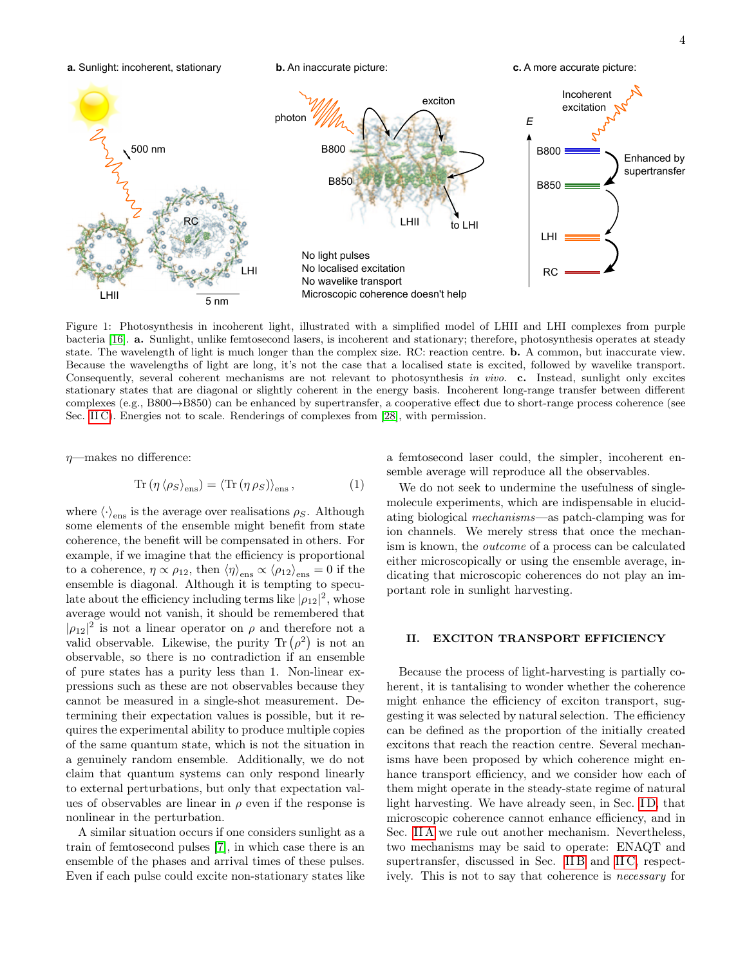

<span id="page-3-1"></span>Figure 1: Photosynthesis in incoherent light, illustrated with a simplified model of LHII and LHI complexes from purple bacteria [\[16\]](#page-5-10). a. Sunlight, unlike femtosecond lasers, is incoherent and stationary; therefore, photosynthesis operates at steady state. The wavelength of light is much longer than the complex size. RC: reaction centre. b. A common, but inaccurate view. Because the wavelengths of light are long, it's not the case that a localised state is excited, followed by wavelike transport. Consequently, several coherent mechanisms are not relevant to photosynthesis in vivo. c. Instead, sunlight only excites stationary states that are diagonal or slightly coherent in the energy basis. Incoherent long-range transfer between different complexes (e.g., B800→B850) can be enhanced by supertransfer, a cooperative effect due to short-range process coherence (see Sec. [II C\)](#page-4-1). Energies not to scale. Renderings of complexes from [\[28\]](#page-6-11), with permission.

 $n$ —makes no difference:

$$
\operatorname{Tr}\left(\eta \left\langle \rho_{S}\right\rangle_{\text{ens}}\right) = \left\langle \operatorname{Tr}\left(\eta \rho_{S}\right)\right\rangle_{\text{ens}},\tag{1}
$$

where  $\langle \cdot \rangle_{\text{ens}}$  is the average over realisations  $\rho_S$ . Although some elements of the ensemble might benefit from state coherence, the benefit will be compensated in others. For example, if we imagine that the efficiency is proportional to a coherence,  $\eta \propto \rho_{12}$ , then  $\langle \eta \rangle_{\text{ens}} \propto \langle \rho_{12} \rangle_{\text{ens}} = 0$  if the ensemble is diagonal. Although it is tempting to speculate about the efficiency including terms like  $|\rho_{12}|^2$ , whose average would not vanish, it should be remembered that  $|\rho_{12}|^2$  is not a linear operator on  $\rho$  and therefore not a valid observable. Likewise, the purity  $\text{Tr}(\rho^2)$  is not an observable, so there is no contradiction if an ensemble of pure states has a purity less than 1. Non-linear expressions such as these are not observables because they cannot be measured in a single-shot measurement. Determining their expectation values is possible, but it requires the experimental ability to produce multiple copies of the same quantum state, which is not the situation in a genuinely random ensemble. Additionally, we do not claim that quantum systems can only respond linearly to external perturbations, but only that expectation values of observables are linear in  $\rho$  even if the response is nonlinear in the perturbation.

A similar situation occurs if one considers sunlight as a train of femtosecond pulses [\[7\]](#page-5-17), in which case there is an ensemble of the phases and arrival times of these pulses. Even if each pulse could excite non-stationary states like

a femtosecond laser could, the simpler, incoherent ensemble average will reproduce all the observables.

We do not seek to undermine the usefulness of singlemolecule experiments, which are indispensable in elucidating biological mechanisms—as patch-clamping was for ion channels. We merely stress that once the mechanism is known, the outcome of a process can be calculated either microscopically or using the ensemble average, indicating that microscopic coherences do not play an important role in sunlight harvesting.

# <span id="page-3-0"></span>II. EXCITON TRANSPORT EFFICIENCY

Because the process of light-harvesting is partially coherent, it is tantalising to wonder whether the coherence might enhance the efficiency of exciton transport, suggesting it was selected by natural selection. The efficiency can be defined as the proportion of the initially created excitons that reach the reaction centre. Several mechanisms have been proposed by which coherence might enhance transport efficiency, and we consider how each of them might operate in the steady-state regime of natural light harvesting. We have already seen, in Sec. ID, that microscopic coherence cannot enhance efficiency, and in Sec. [II A](#page-4-2) we rule out another mechanism. Nevertheless, two mechanisms may be said to operate: ENAQT and supertransfer, discussed in Sec. IIB and IIC, respectively. This is not to say that coherence is necessary for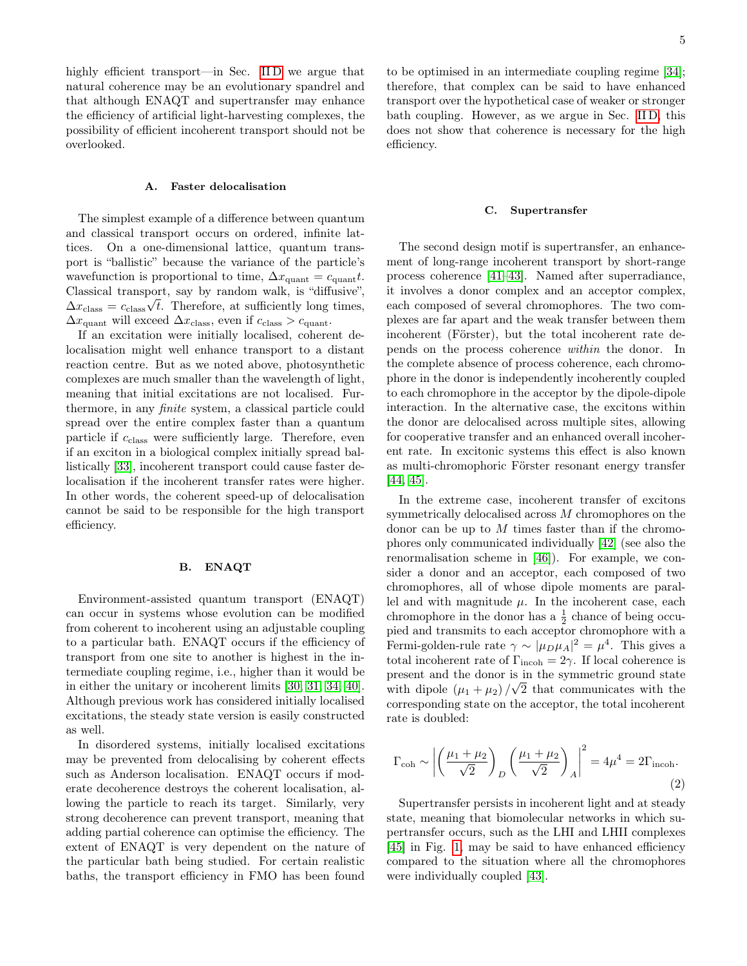highly efficient transport—in Sec. IID we argue that natural coherence may be an evolutionary spandrel and that although ENAQT and supertransfer may enhance the efficiency of artificial light-harvesting complexes, the possibility of efficient incoherent transport should not be overlooked.

# <span id="page-4-2"></span>A. Faster delocalisation

The simplest example of a difference between quantum and classical transport occurs on ordered, infinite lattices. On a one-dimensional lattice, quantum transport is "ballistic" because the variance of the particle's wavefunction is proportional to time,  $\Delta x_{\text{quant}} = c_{\text{quant}}t$ . Classical transport, say by random walk, is "diffusive",  $\Delta x_{\text{class}} = c_{\text{class}} \sqrt{t}$ . Therefore, at sufficiently long times,  $\Delta x_{\text{quant}}$  will exceed  $\Delta x_{\text{class}}$ , even if  $c_{\text{class}} > c_{\text{quant}}$ .

If an excitation were initially localised, coherent delocalisation might well enhance transport to a distant reaction centre. But as we noted above, photosynthetic complexes are much smaller than the wavelength of light, meaning that initial excitations are not localised. Furthermore, in any finite system, a classical particle could spread over the entire complex faster than a quantum particle if  $c_{\text{class}}$  were sufficiently large. Therefore, even if an exciton in a biological complex initially spread ballistically [\[33\]](#page-6-12), incoherent transport could cause faster delocalisation if the incoherent transfer rates were higher. In other words, the coherent speed-up of delocalisation cannot be said to be responsible for the high transport efficiency.

# <span id="page-4-0"></span>B. ENAQT

Environment-assisted quantum transport (ENAQT) can occur in systems whose evolution can be modified from coherent to incoherent using an adjustable coupling to a particular bath. ENAQT occurs if the efficiency of transport from one site to another is highest in the intermediate coupling regime, i.e., higher than it would be in either the unitary or incoherent limits [\[30,](#page-6-13) [31,](#page-6-14) [34,](#page-6-15) [40\]](#page-6-16). Although previous work has considered initially localised excitations, the steady state version is easily constructed as well.

In disordered systems, initially localised excitations may be prevented from delocalising by coherent effects such as Anderson localisation. ENAQT occurs if moderate decoherence destroys the coherent localisation, allowing the particle to reach its target. Similarly, very strong decoherence can prevent transport, meaning that adding partial coherence can optimise the efficiency. The extent of ENAQT is very dependent on the nature of the particular bath being studied. For certain realistic baths, the transport efficiency in FMO has been found to be optimised in an intermediate coupling regime [\[34\]](#page-6-15); therefore, that complex can be said to have enhanced transport over the hypothetical case of weaker or stronger bath coupling. However, as we argue in Sec. [II D,](#page-5-6) this does not show that coherence is necessary for the high efficiency.

### <span id="page-4-1"></span>C. Supertransfer

The second design motif is supertransfer, an enhancement of long-range incoherent transport by short-range process coherence [\[41–](#page-6-17)[43\]](#page-6-18). Named after superradiance, it involves a donor complex and an acceptor complex, each composed of several chromophores. The two complexes are far apart and the weak transfer between them incoherent (Förster), but the total incoherent rate depends on the process coherence within the donor. In the complete absence of process coherence, each chromophore in the donor is independently incoherently coupled to each chromophore in the acceptor by the dipole-dipole interaction. In the alternative case, the excitons within the donor are delocalised across multiple sites, allowing for cooperative transfer and an enhanced overall incoherent rate. In excitonic systems this effect is also known as multi-chromophoric Förster resonant energy transfer [\[44,](#page-6-19) [45\]](#page-6-20).

In the extreme case, incoherent transfer of excitons symmetrically delocalised across M chromophores on the donor can be up to  $M$  times faster than if the chromophores only communicated individually [\[42\]](#page-6-21) (see also the renormalisation scheme in [\[46\]](#page-6-22)). For example, we consider a donor and an acceptor, each composed of two chromophores, all of whose dipole moments are parallel and with magnitude  $\mu$ . In the incoherent case, each chromophore in the donor has a  $\frac{1}{2}$  chance of being occupied and transmits to each acceptor chromophore with a Fermi-golden-rule rate  $\gamma \sim |\mu_D \mu_A|^2 = \mu^4$ . This gives a total incoherent rate of  $\Gamma_{\text{incoh}} = 2\gamma$ . If local coherence is present and the donor is in the symmetric ground state with dipole  $(\mu_1 + \mu_2)/\sqrt{2}$  that communicates with the corresponding state on the acceptor, the total incoherent rate is doubled:

$$
\Gamma_{\rm coh} \sim \left| \left( \frac{\mu_1 + \mu_2}{\sqrt{2}} \right)_D \left( \frac{\mu_1 + \mu_2}{\sqrt{2}} \right)_A \right|^2 = 4\mu^4 = 2\Gamma_{\rm incoh}.
$$
\n(2)

Supertransfer persists in incoherent light and at steady state, meaning that biomolecular networks in which supertransfer occurs, such as the LHI and LHII complexes [\[45\]](#page-6-20) in Fig. [1,](#page-3-1) may be said to have enhanced efficiency compared to the situation where all the chromophores were individually coupled [\[43\]](#page-6-18).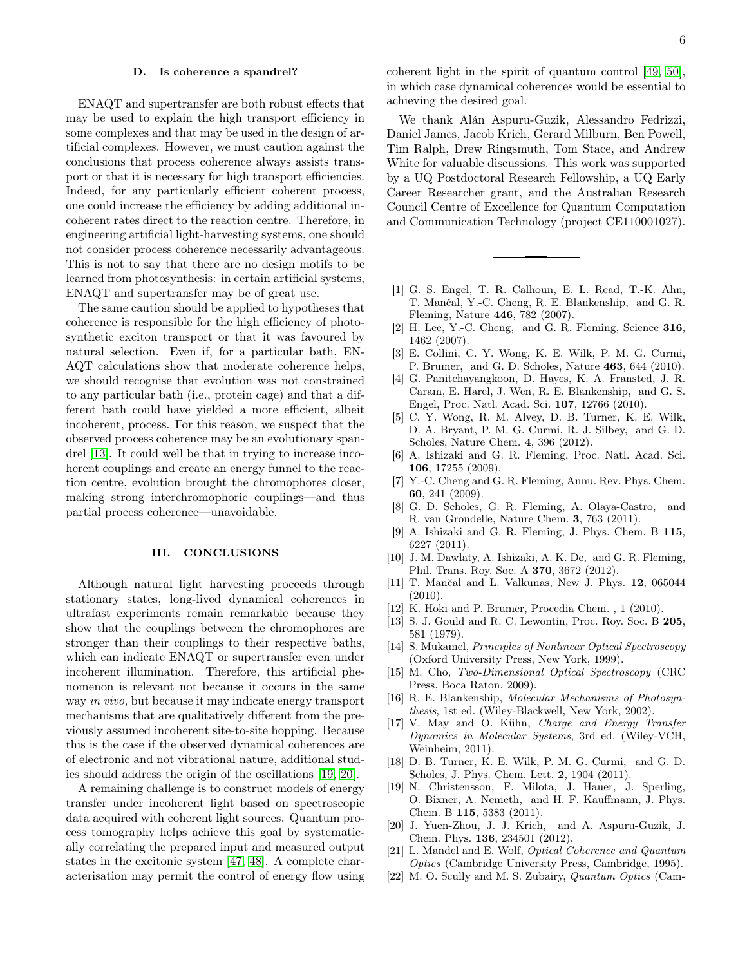### <span id="page-5-6"></span>D. Is coherence a spandrel?

ENAQT and supertransfer are both robust effects that may be used to explain the high transport efficiency in some complexes and that may be used in the design of artificial complexes. However, we must caution against the conclusions that process coherence always assists transport or that it is necessary for high transport efficiencies. Indeed, for any particularly efficient coherent process, one could increase the efficiency by adding additional incoherent rates direct to the reaction centre. Therefore, in engineering artificial light-harvesting systems, one should not consider process coherence necessarily advantageous. This is not to say that there are no design motifs to be learned from photosynthesis: in certain artificial systems, ENAQT and supertransfer may be of great use.

The same caution should be applied to hypotheses that coherence is responsible for the high efficiency of photosynthetic exciton transport or that it was favoured by natural selection. Even if, for a particular bath, EN-AQT calculations show that moderate coherence helps, we should recognise that evolution was not constrained to any particular bath (i.e., protein cage) and that a different bath could have yielded a more efficient, albeit incoherent, process. For this reason, we suspect that the observed process coherence may be an evolutionary spandrel [\[13\]](#page-5-7). It could well be that in trying to increase incoherent couplings and create an energy funnel to the reaction centre, evolution brought the chromophores closer, making strong interchromophoric couplings—and thus partial process coherence—unavoidable.

### III. CONCLUSIONS

Although natural light harvesting proceeds through stationary states, long-lived dynamical coherences in ultrafast experiments remain remarkable because they show that the couplings between the chromophores are stronger than their couplings to their respective baths, which can indicate ENAQT or supertransfer even under incoherent illumination. Therefore, this artificial phenomenon is relevant not because it occurs in the same way in vivo, but because it may indicate energy transport mechanisms that are qualitatively different from the previously assumed incoherent site-to-site hopping. Because this is the case if the observed dynamical coherences are of electronic and not vibrational nature, additional studies should address the origin of the oscillations [\[19,](#page-5-18) [20\]](#page-5-13).

A remaining challenge is to construct models of energy transfer under incoherent light based on spectroscopic data acquired with coherent light sources. Quantum process tomography helps achieve this goal by systematically correlating the prepared input and measured output states in the excitonic system [\[47,](#page-6-23) [48\]](#page-6-24). A complete characterisation may permit the control of energy flow using coherent light in the spirit of quantum control [\[49,](#page-6-25) [50\]](#page-6-26), in which case dynamical coherences would be essential to achieving the desired goal.

We thank Alán Aspuru-Guzik, Alessandro Fedrizzi, Daniel James, Jacob Krich, Gerard Milburn, Ben Powell, Tim Ralph, Drew Ringsmuth, Tom Stace, and Andrew White for valuable discussions. This work was supported by a UQ Postdoctoral Research Fellowship, a UQ Early Career Researcher grant, and the Australian Research Council Centre of Excellence for Quantum Computation and Communication Technology (project CE110001027).

- <span id="page-5-0"></span>[1] G. S. Engel, T. R. Calhoun, E. L. Read, T.-K. Ahn, T. Mančal, Y.-C. Cheng, R. E. Blankenship, and G. R. Fleming, Nature 446, 782 (2007).
- [2] H. Lee, Y.-C. Cheng, and G. R. Fleming, Science 316, 1462 (2007).
- [3] E. Collini, C. Y. Wong, K. E. Wilk, P. M. G. Curmi, P. Brumer, and G. D. Scholes, Nature 463, 644 (2010).
- [4] G. Panitchayangkoon, D. Hayes, K. A. Fransted, J. R. Caram, E. Harel, J. Wen, R. E. Blankenship, and G. S. Engel, Proc. Natl. Acad. Sci. 107, 12766 (2010).
- <span id="page-5-1"></span>[5] C. Y. Wong, R. M. Alvey, D. B. Turner, K. E. Wilk, D. A. Bryant, P. M. G. Curmi, R. J. Silbey, and G. D. Scholes, Nature Chem. 4, 396 (2012).
- <span id="page-5-2"></span>[6] A. Ishizaki and G. R. Fleming, Proc. Natl. Acad. Sci. 106, 17255 (2009).
- <span id="page-5-17"></span>[7] Y.-C. Cheng and G. R. Fleming, Annu. Rev. Phys. Chem. 60, 241 (2009).
- [8] G. D. Scholes, G. R. Fleming, A. Olaya-Castro, and R. van Grondelle, Nature Chem. 3, 763 (2011).
- <span id="page-5-16"></span>[9] A. Ishizaki and G. R. Fleming, J. Phys. Chem. B 115, 6227 (2011).
- <span id="page-5-3"></span>[10] J. M. Dawlaty, A. Ishizaki, A. K. De, and G. R. Fleming, Phil. Trans. Roy. Soc. A 370, 3672 (2012).
- <span id="page-5-4"></span>[11] T. Mančal and L. Valkunas, New J. Phys. 12, 065044 (2010).
- <span id="page-5-5"></span>[12] K. Hoki and P. Brumer, Procedia Chem. , 1 (2010).
- <span id="page-5-7"></span>[13] S. J. Gould and R. C. Lewontin, Proc. Roy. Soc. B 205, 581 (1979).
- <span id="page-5-8"></span>[14] S. Mukamel, Principles of Nonlinear Optical Spectroscopy (Oxford University Press, New York, 1999).
- <span id="page-5-9"></span>[15] M. Cho, Two-Dimensional Optical Spectroscopy (CRC Press, Boca Raton, 2009).
- <span id="page-5-10"></span>[16] R. E. Blankenship, Molecular Mechanisms of Photosynthesis, 1st ed. (Wiley-Blackwell, New York, 2002).
- <span id="page-5-11"></span>[17] V. May and O. Kühn, Charge and Energy Transfer Dynamics in Molecular Systems, 3rd ed. (Wiley-VCH, Weinheim, 2011).
- <span id="page-5-12"></span>[18] D. B. Turner, K. E. Wilk, P. M. G. Curmi, and G. D. Scholes, J. Phys. Chem. Lett. 2, 1904 (2011).
- <span id="page-5-18"></span>[19] N. Christensson, F. Milota, J. Hauer, J. Sperling, O. Bixner, A. Nemeth, and H. F. Kauffmann, J. Phys. Chem. B 115, 5383 (2011).
- <span id="page-5-13"></span>[20] J. Yuen-Zhou, J. J. Krich, and A. Aspuru-Guzik, J. Chem. Phys. 136, 234501 (2012).
- <span id="page-5-14"></span>[21] L. Mandel and E. Wolf, Optical Coherence and Quantum Optics (Cambridge University Press, Cambridge, 1995).
- <span id="page-5-15"></span>[22] M. O. Scully and M. S. Zubairy, Quantum Optics (Cam-